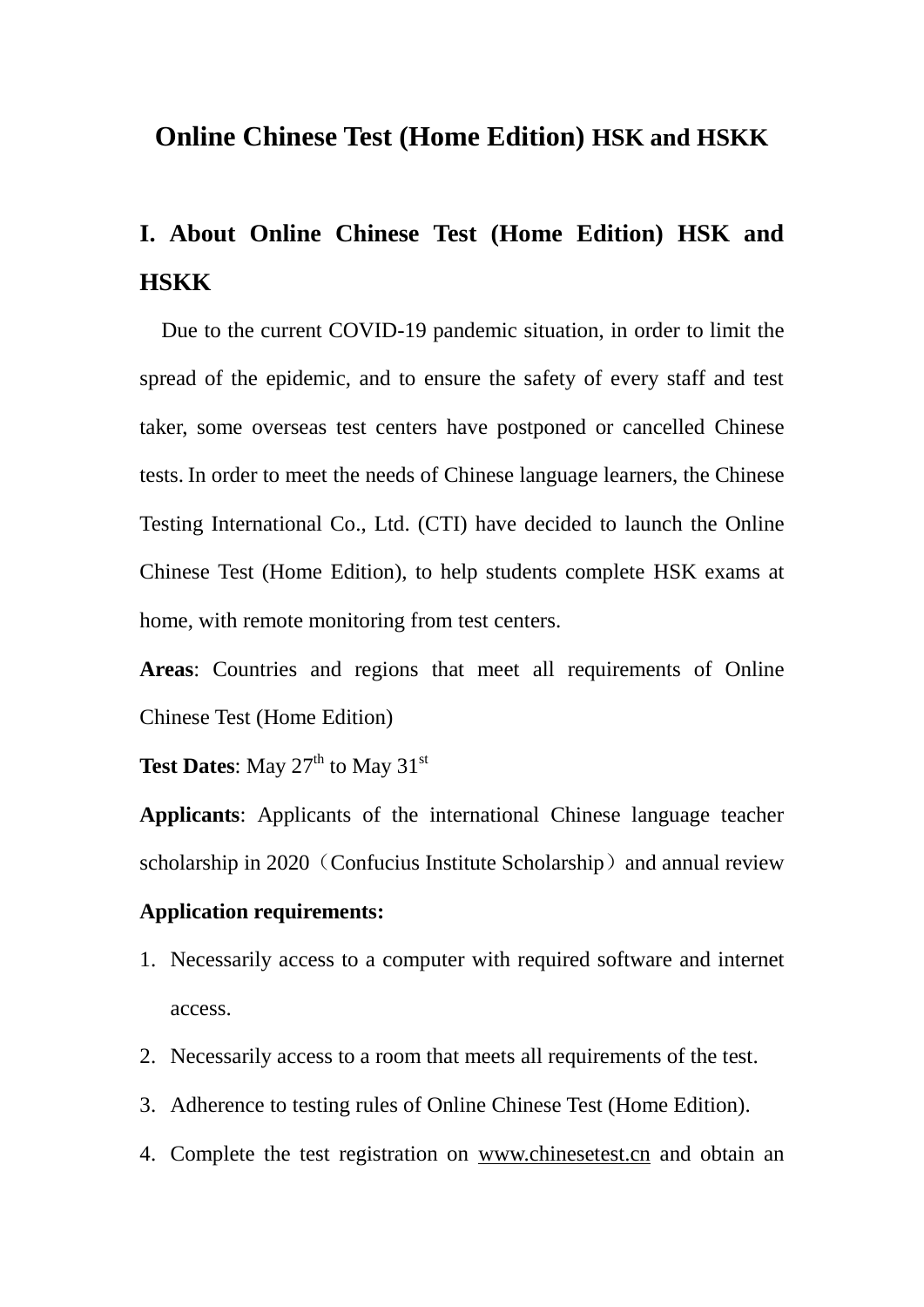## **Online Chinese Test (Home Edition) HSK and HSKK**

# **I. About Online Chinese Test (Home Edition) HSK and HSKK**

Due to the current COVID-19 pandemic situation, in order to limit the spread of the epidemic, and to ensure the safety of every staff and test taker, some overseas test centers have postponed or cancelled Chinese tests. In order to meet the needs of Chinese language learners, the Chinese Testing International Co., Ltd. (CTI) have decided to launch the Online Chinese Test (Home Edition), to help students complete HSK exams at home, with remote monitoring from test centers.

**Areas**: Countries and regions that meet all requirements of Online Chinese Test (Home Edition)

**Test Dates:** May  $27<sup>th</sup>$  to May  $31<sup>st</sup>$ 

**Applicants**: Applicants of the international Chinese language teacher scholarship in 2020 (Confucius Institute Scholarship) and annual review

#### **Application requirements:**

- 1. Necessarily access to a computer with required software and internet access.
- 2. Necessarily access to a room that meets all requirements of the test.
- 3. Adherence to testing rules of Online Chinese Test (Home Edition).
- 4. Complete the test registration on [www.chinesetest.cn](http://www.chinesetest.cn/) and obtain an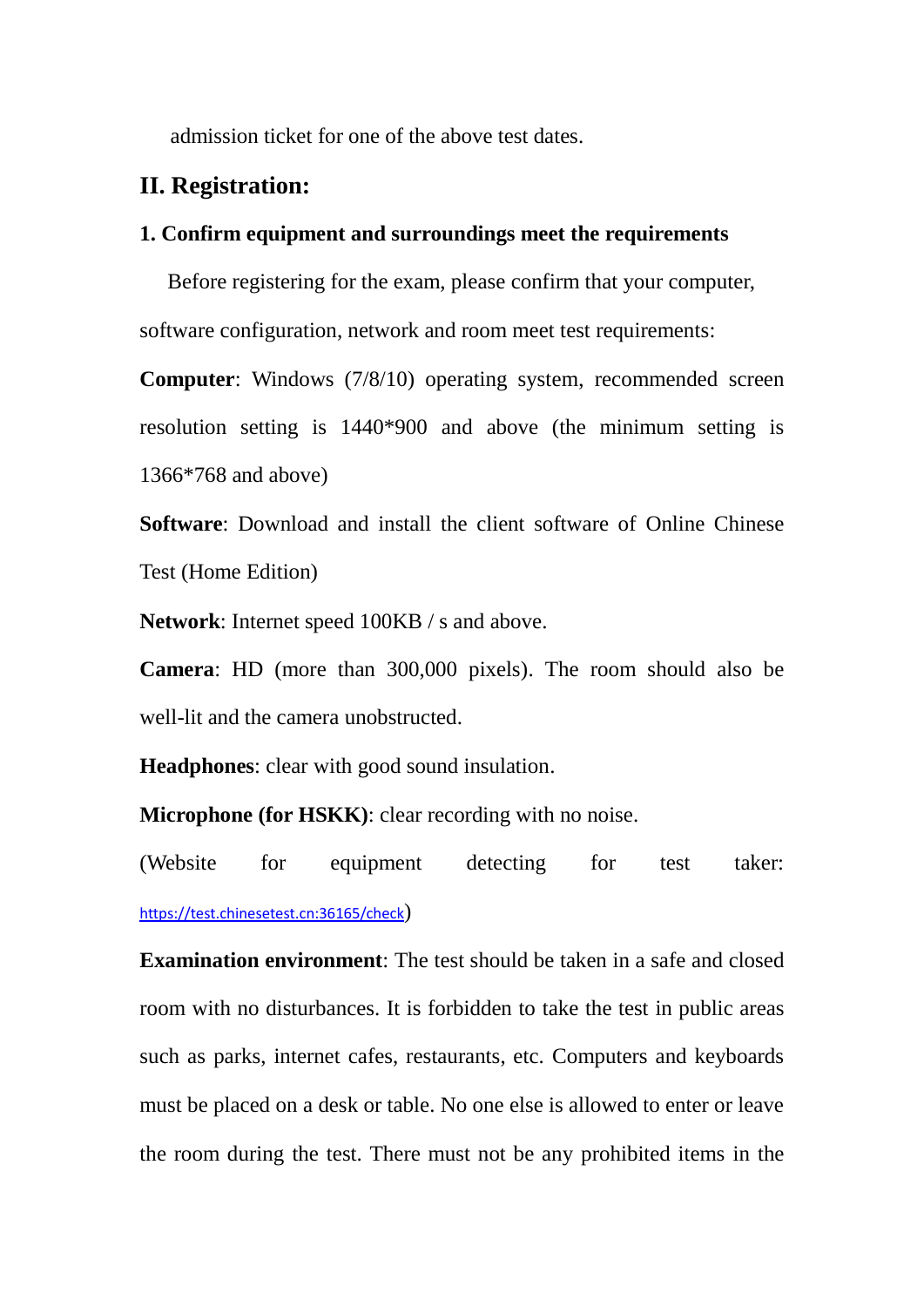admission ticket for one of the above test dates.

## **II. Registration:**

#### **1. Confirm equipment and surroundings meet the requirements**

Before registering for the exam, please confirm that your computer, software configuration, network and room meet test requirements:

**Computer**: Windows (7/8/10) operating system, recommended screen resolution setting is 1440\*900 and above (the minimum setting is 1366\*768 and above)

**Software**: Download and install the client software of Online Chinese Test (Home Edition)

**Network**: Internet speed 100KB / s and above.

**Camera**: HD (more than 300,000 pixels). The room should also be well-lit and the camera unobstructed.

**Headphones**: clear with good sound insulation.

**Microphone (for HSKK)**: clear recording with no noise.

(Website for equipment detecting for test taker: <https://test.chinesetest.cn:36165/check>)

**Examination environment**: The test should be taken in a safe and closed room with no disturbances. It is forbidden to take the test in public areas such as parks, internet cafes, restaurants, etc. Computers and keyboards must be placed on a desk or table. No one else is allowed to enter or leave the room during the test. There must not be any prohibited items in the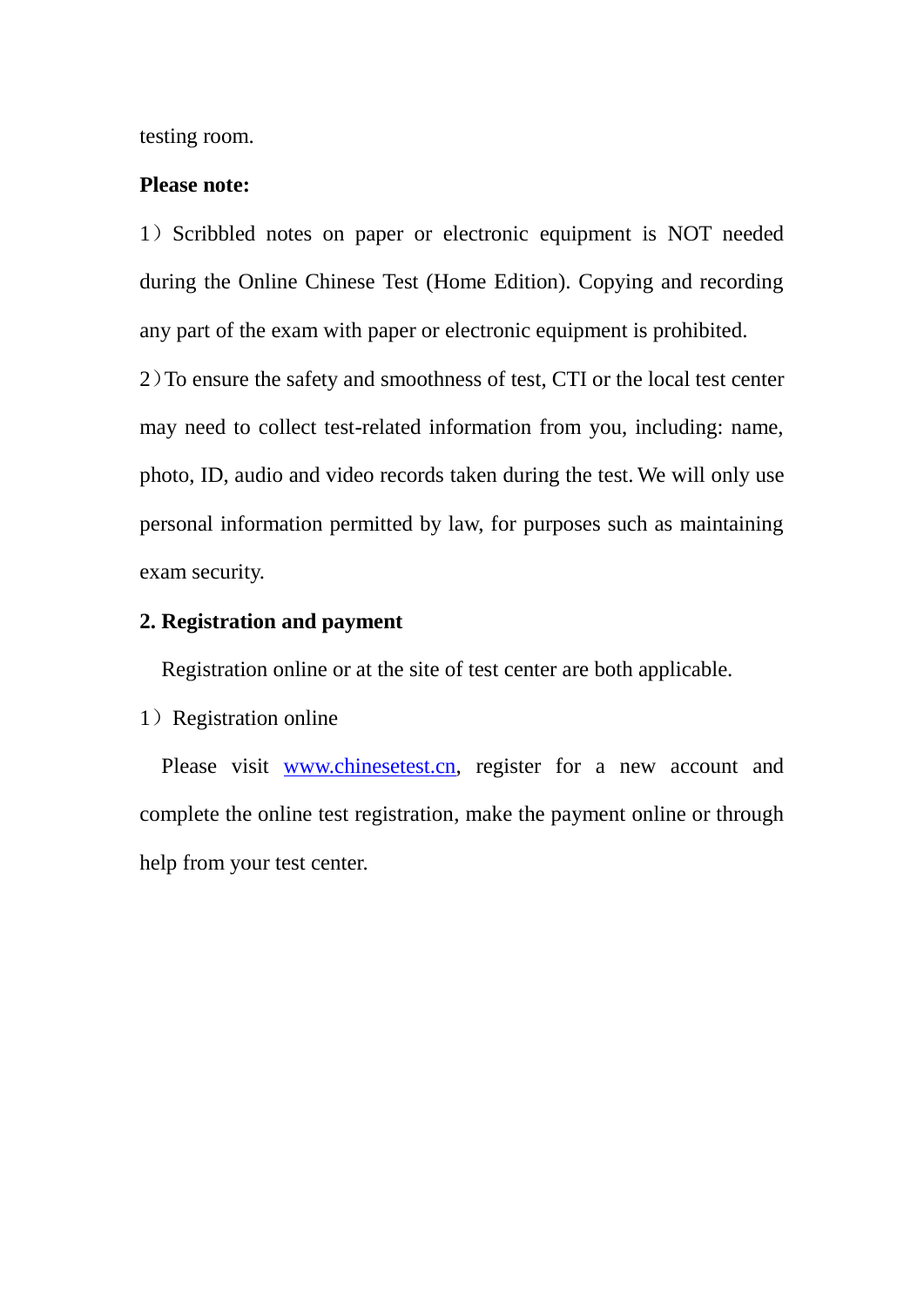testing room.

#### **Please note:**

1) Scribbled notes on paper or electronic equipment is NOT needed during the Online Chinese Test (Home Edition). Copying and recording any part of the exam with paper or electronic equipment is prohibited.

2)To ensure the safety and smoothness of test, CTI or the local test center may need to collect test-related information from you, including: name, photo, ID, audio and video records taken during the test. We will only use personal information permitted by law, for purposes such as maintaining exam security.

#### **2. Registration and payment**

Registration online or at the site of test center are both applicable.

#### 1) Registration online

Please visit [www.chinesetest.cn,](http://www.chinesetest.cn/) register for a new account and complete the online test registration, make the payment online or through help from your test center.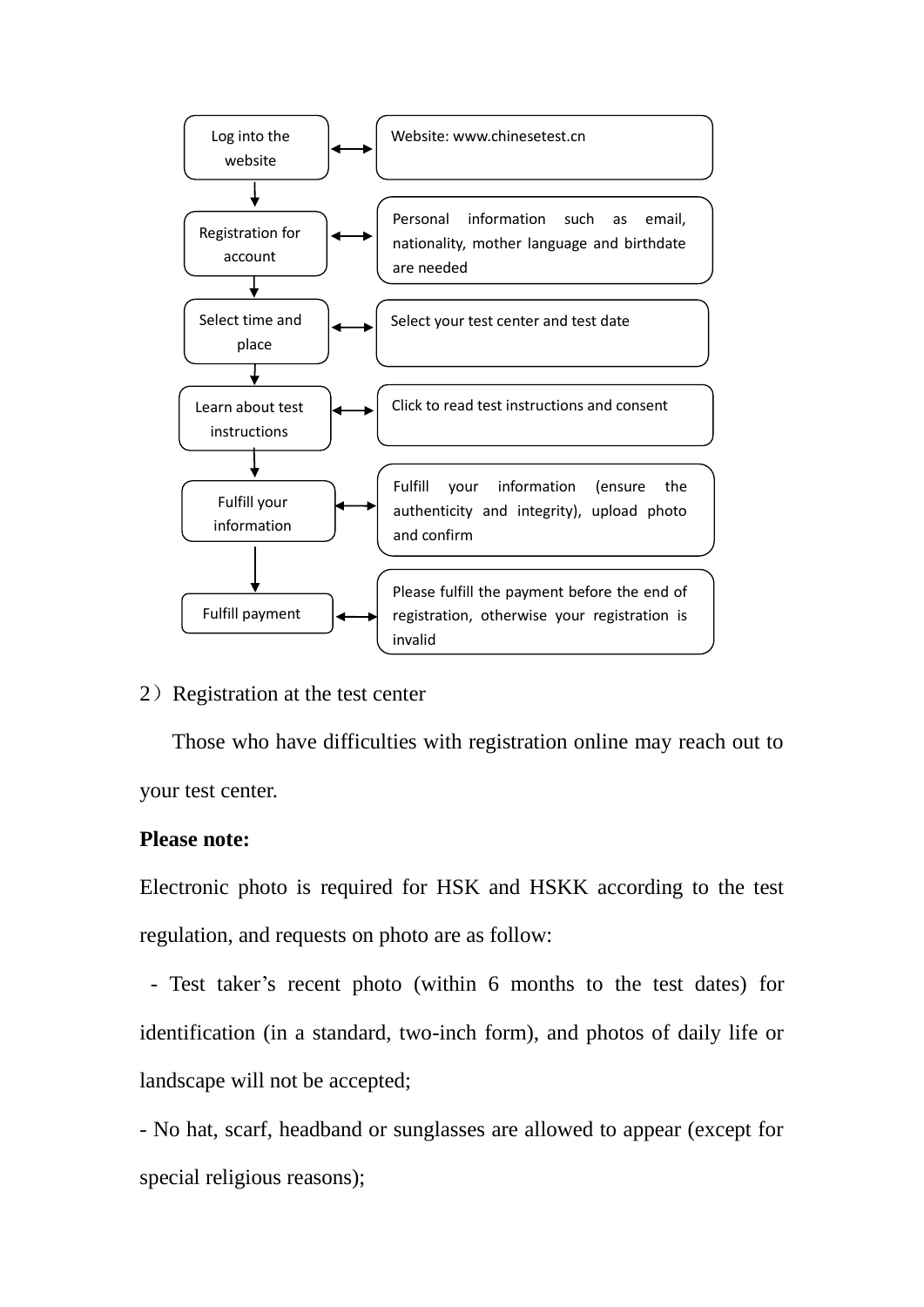

2) Registration at the test center

 Those who have difficulties with registration online may reach out to your test center.

#### **Please note:**

Electronic photo is required for HSK and HSKK according to the test regulation, and requests on photo are as follow:

- Test taker's recent photo (within 6 months to the test dates) for identification (in a standard, two-inch form), and photos of daily life or landscape will not be accepted;

- No hat, scarf, headband or sunglasses are allowed to appear (except for special religious reasons);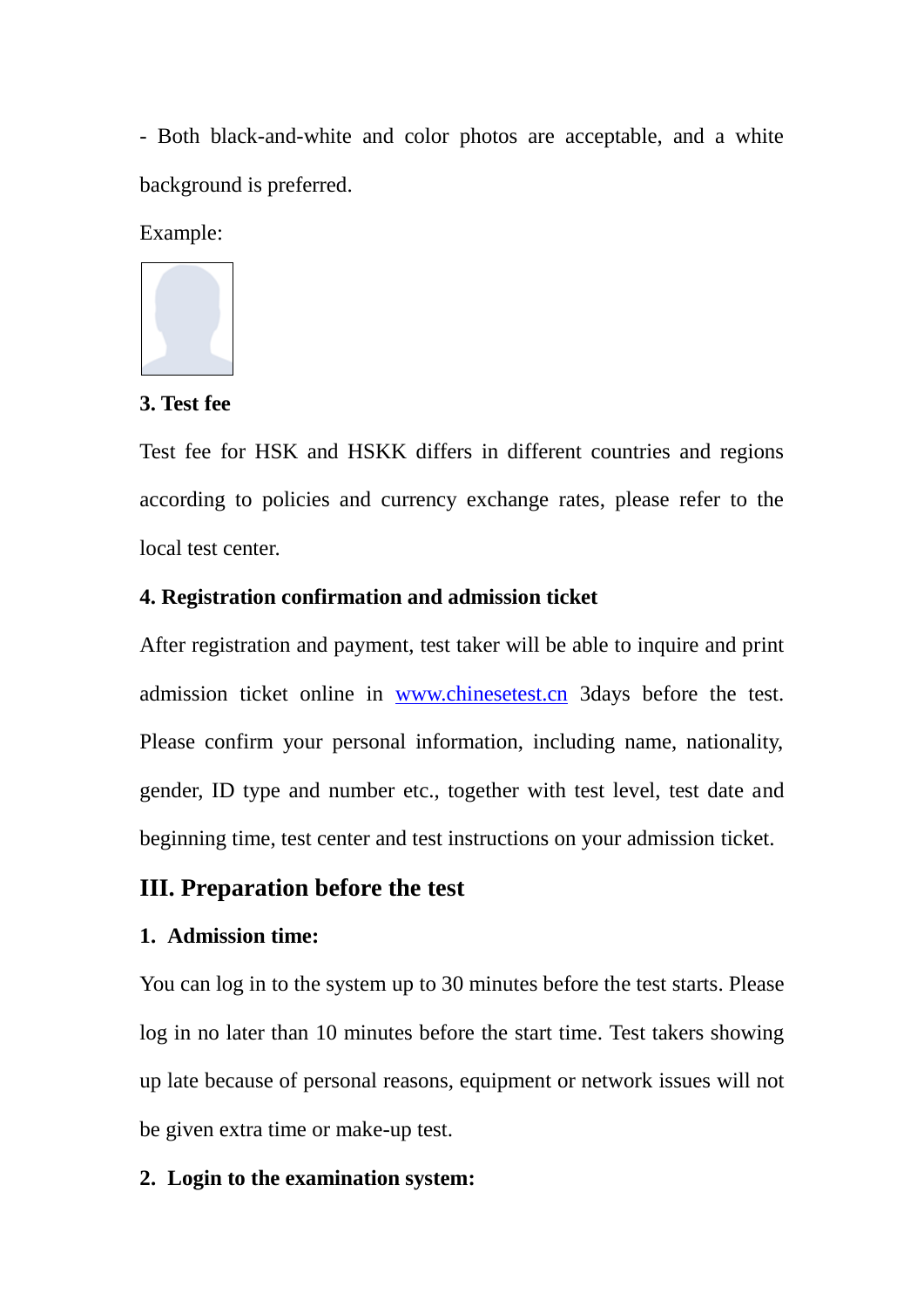- Both black-and-white and color photos are acceptable, and a white background is preferred.

Example:



#### **3. Test fee**

Test fee for HSK and HSKK differs in different countries and regions according to policies and currency exchange rates, please refer to the local test center.

#### **4. Registration confirmation and admission ticket**

After registration and payment, test taker will be able to inquire and print admission ticket online in [www.chinesetest.cn](http://www.chinesetest.cn/) 3days before the test. Please confirm your personal information, including name, nationality, gender, ID type and number etc., together with test level, test date and beginning time, test center and test instructions on your admission ticket.

## **III. Preparation before the test**

#### **1. Admission time:**

You can log in to the system up to 30 minutes before the test starts. Please log in no later than 10 minutes before the start time. Test takers showing up late because of personal reasons, equipment or network issues will not be given extra time or make-up test.

#### **2. Login to the examination system:**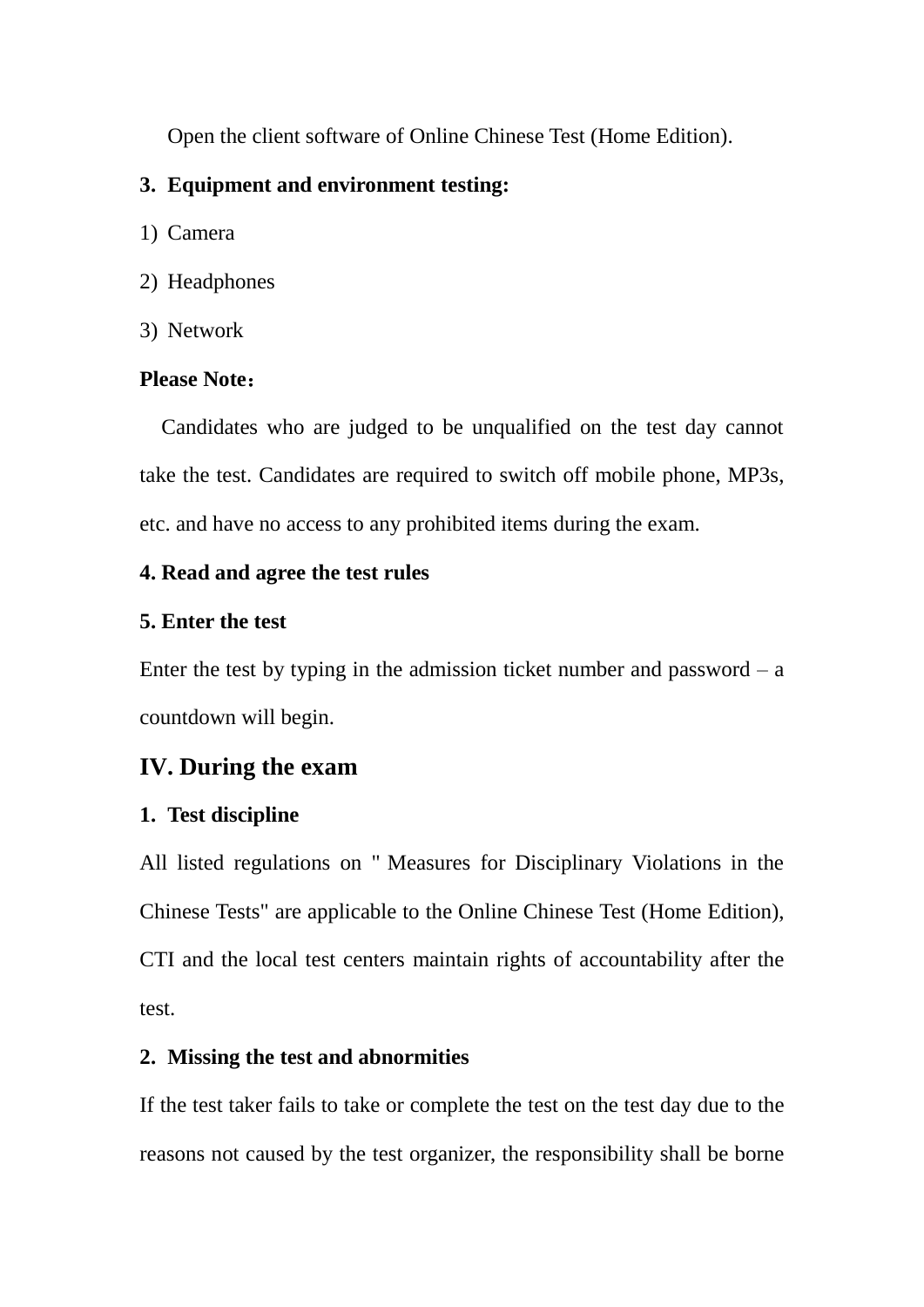Open the client software of Online Chinese Test (Home Edition).

## **3. Equipment and environment testing:**

- 1) Camera
- 2) Headphones
- 3) Network

# **Please Note**:

Candidates who are judged to be unqualified on the test day cannot take the test. Candidates are required to switch off mobile phone, MP3s, etc. and have no access to any prohibited items during the exam.

# **4. Read and agree the test rules**

## **5. Enter the test**

Enter the test by typing in the admission ticket number and password  $- a$ countdown will begin.

# **IV. During the exam**

# **1. Test discipline**

All listed regulations on " Measures for Disciplinary Violations in the Chinese Tests" are applicable to the Online Chinese Test (Home Edition), CTI and the local test centers maintain rights of accountability after the test.

# **2. Missing the test and abnormities**

If the test taker fails to take or complete the test on the test day due to the reasons not caused by the test organizer, the responsibility shall be borne